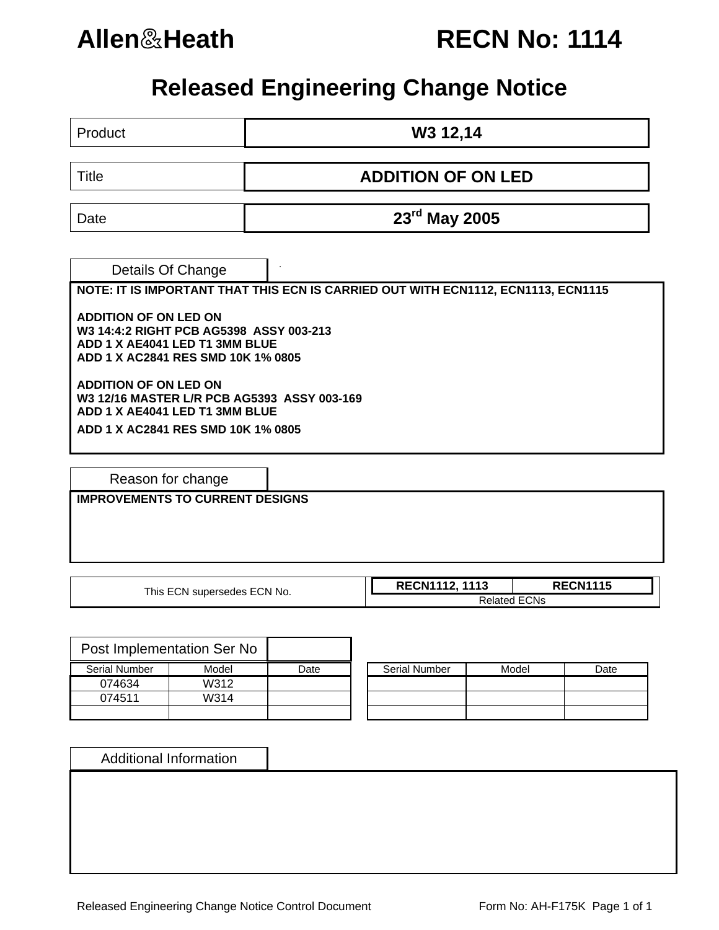## **Allen**&**Heath RECN No: 1114**

## **Released Engineering Change Notice**

Product **W3 12,14** 

Title **ADDITION OF ON LED** 

Date **23rd May 2005** 

. Details Of Change

**NOTE: IT IS IMPORTANT THAT THIS ECN IS CARRIED OUT WITH ECN1112, ECN1113, ECN1115** 

**ADDITION OF ON LED ON W3 14:4:2 RIGHT PCB AG5398 ASSY 003-213 ADD 1 X AE4041 LED T1 3MM BLUE ADD 1 X AC2841 RES SMD 10K 1% 0805** 

**ADDITION OF ON LED ON W3 12/16 MASTER L/R PCB AG5393 ASSY 003-169 ADD 1 X AE4041 LED T1 3MM BLUE ADD 1 X AC2841 RES SMD 10K 1% 0805** 

Reason for change

**IMPROVEMENTS TO CURRENT DESIGNS** 

| This ECN supersedes ECN No. | <b>RECN1112, 1113</b> | <b>RECN1115</b> |  |  |
|-----------------------------|-----------------------|-----------------|--|--|
|                             | <b>Related ECNs</b>   |                 |  |  |

|               | Post Implementation Ser No |      |                      |       |      |
|---------------|----------------------------|------|----------------------|-------|------|
| Serial Number | Model                      | Date | <b>Serial Number</b> | Model | Date |
| 074634        | W312                       |      |                      |       |      |
| 074511        | W314                       |      |                      |       |      |
|               |                            |      |                      |       |      |

| <b>Serial Number</b> | Model | Date |
|----------------------|-------|------|
|                      |       |      |
|                      |       |      |
|                      |       |      |

Additional Information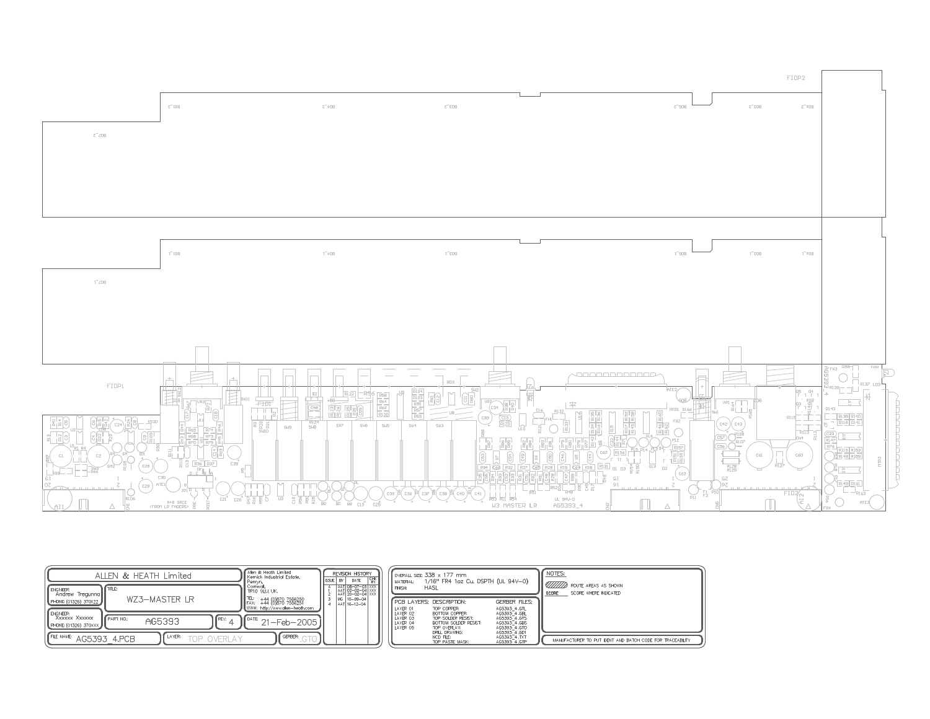

| ALLEN & HEATH Limited                                                                    | Allen & Heath Limited<br>Kernick Industrial Estate,<br><b>REVISION HISTORY</b><br>DATE<br>ISSUE   BY                                                             | OVERALL SIZE: 338 x 177 mm<br>飞<br>1/16" FR4 1oz Cu. DSPTH (UL 94V-0)<br>MATERIAL:                                                                                                                                                                                        | NOTES:                                                                    |
|------------------------------------------------------------------------------------------|------------------------------------------------------------------------------------------------------------------------------------------------------------------|---------------------------------------------------------------------------------------------------------------------------------------------------------------------------------------------------------------------------------------------------------------------------|---------------------------------------------------------------------------|
| fine:<br>' I ENGINEER:<br>Andrew Tregunna<br>WZ3-MASTER LR<br>PHONE: (01326) 370122      | AAT 08-07-03 XXX<br>AAT 02-02-04 XXX<br>AAT 20-02-04 XXX<br>Comwall,<br>TR10 9LU, UK,<br>MG 15-09-04<br>+44 (0)870 7556250<br>+44 (0)870 7556251<br>AAT 16-12-04 | <b>HASL</b><br>FINSH:<br><b>GERBER FILES:</b><br><b>FCB LAYERS: DESCRIPTION:</b>                                                                                                                                                                                          | <b>WITH</b> ROUTE AREAS AS SHOWN<br>SCORE WHERE INDICATED<br><b>SCORE</b> |
| ' I ENGNEER:<br>XXXXXX XXXXXX<br>PART NO.:<br>I FREV:<br>AG5393<br>PHONE: (01326) 370XXX | I WWW: http://www.allen-heath.com<br>$+$ $\left  \int_{0}^{DATE} 21 - \text{Feb} - 2005 \right  \right $                                                         | AG5393 4.GTL<br>LAYER 01<br>TOP COPPER:<br>LAYER 02<br>AG5393_4.GBL<br>BOTTOM COPPER:<br>AG5393 4.GTS<br>LAYER 03<br>TOP SOLDER RESIST:<br>LAYER 04<br>AG5393 4.GBS<br>BOTTOM SOLDER RESIST:<br>LAYER 05<br>AG5393 4.GTO<br>TOP OVERLAY:<br>AG5393 4.GD1<br>DRILL DRAWNG: |                                                                           |
| LAYER:<br>IFLE NAME: AG5393 4.PCB<br><b>TOP OVERLAY</b>                                  | GERBER                                                                                                                                                           | AG5393_4.TXT<br>NCD FLE:<br>AG5393 4.GTP<br>TOP PASTE MASK:                                                                                                                                                                                                               | MANUFACTURER TO PUT DENT AND BATCH CODE FOR TRACEABLITY                   |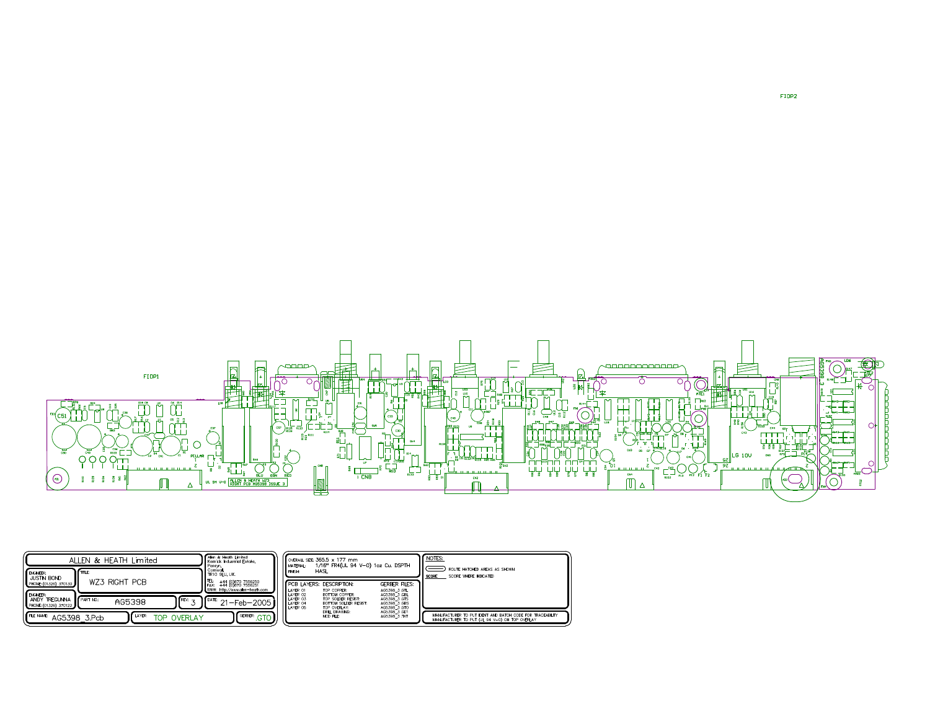

| ALLEN & HEATH<br>Limited                                  |                               | Allen & Heath Limited<br>Kemick Industrial Estate.<br>Penryn | OVERALL SIZE: 365.5 x 177 mm<br>1/16" FR4(UL 94 V-0) 1oz Cu. DSPTH<br>MATERIAL: |                                              |                                                                                            | NOTES:                                                       |                                                                                                            |
|-----------------------------------------------------------|-------------------------------|--------------------------------------------------------------|---------------------------------------------------------------------------------|----------------------------------------------|--------------------------------------------------------------------------------------------|--------------------------------------------------------------|------------------------------------------------------------------------------------------------------------|
| <b>ENGNEER:</b><br>JUSTIN BOND<br>PHONE: (01326) 370130   | <b>I</b> mus<br>WZ3 RIGHT PCB |                                                              | Comwal.<br>TR10 SLU UK.<br>TEL:<br>+44 (0)870 7556250<br>+44 (0)870 7556251     | <b>FINISH:</b>                               | HASL<br><b>FPCB LAYERS: DESCRPTION:</b>                                                    | <b>GERBER FILES:</b>                                         | ROUTE HATCHED AREAS AS SHOWN<br>SCORE WHERE INDICATED<br>SCORE                                             |
| <b>ENGNEER:</b><br>ANDY TREGUNNA<br>PHONE: (01326) 370122 | <b>FRART NO:</b><br>AG5398    | $REV: -$                                                     | WWW: http://www.alen-heath.com<br>$DATE$ $24$<br>I-Feb-2005 I                   | LAYER 01<br>LAYER 02<br>LAYER 03<br>LAYER 04 | TOP COPPER:<br><b>BOTTOM COPPER:</b><br>TOP SOLDER RESIST:<br><b>BOTTOM SOLDER RESIST:</b> | AG5398 3.GTL<br>AG5398 3 GBL<br>AG5398 3.GTS<br>AG5398 3.GBS |                                                                                                            |
| FILE NAME:                                                | LAYER:<br>AG5398 3.Pcb        | <b>OVERLAY</b><br>TOP                                        | GERBER:<br>.GTO                                                                 | LAYER 05                                     | TOP OVERLAY:<br>DRILL DRAWING:<br>NCD FLE:                                                 | AG5398 3.GTO<br>AG5398 3.GD1<br>AG5398 3.TXT                 | MANUFACTURER TO PUT DENT AND BATCH CODE FOR TRACEABILITY<br>MANUFACTURER TO PUT (UL 94 V-0) ON TOP OVERLAY |

FIDP2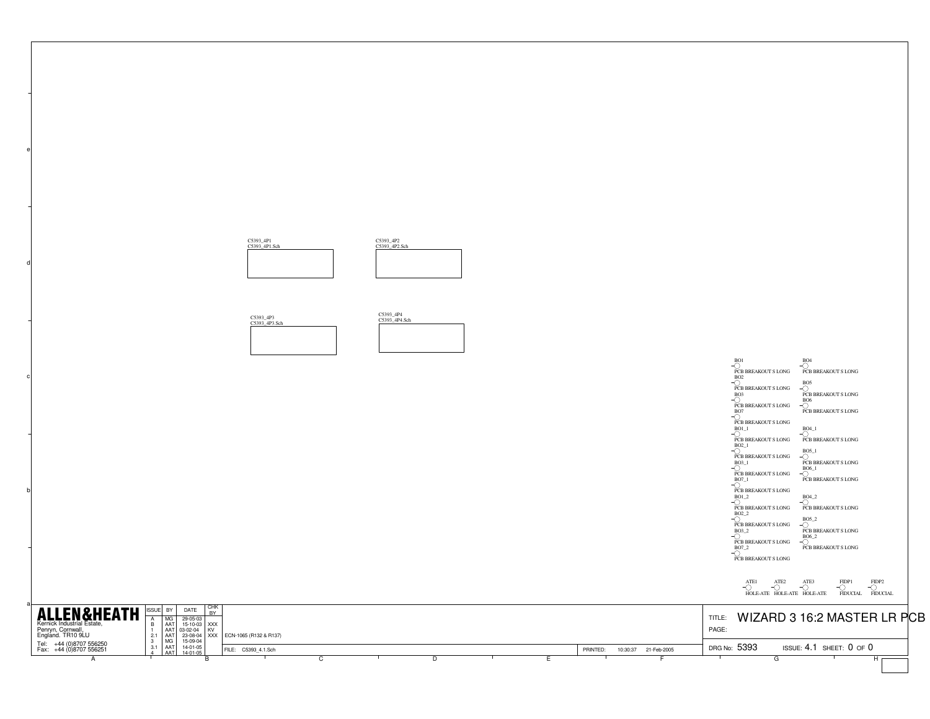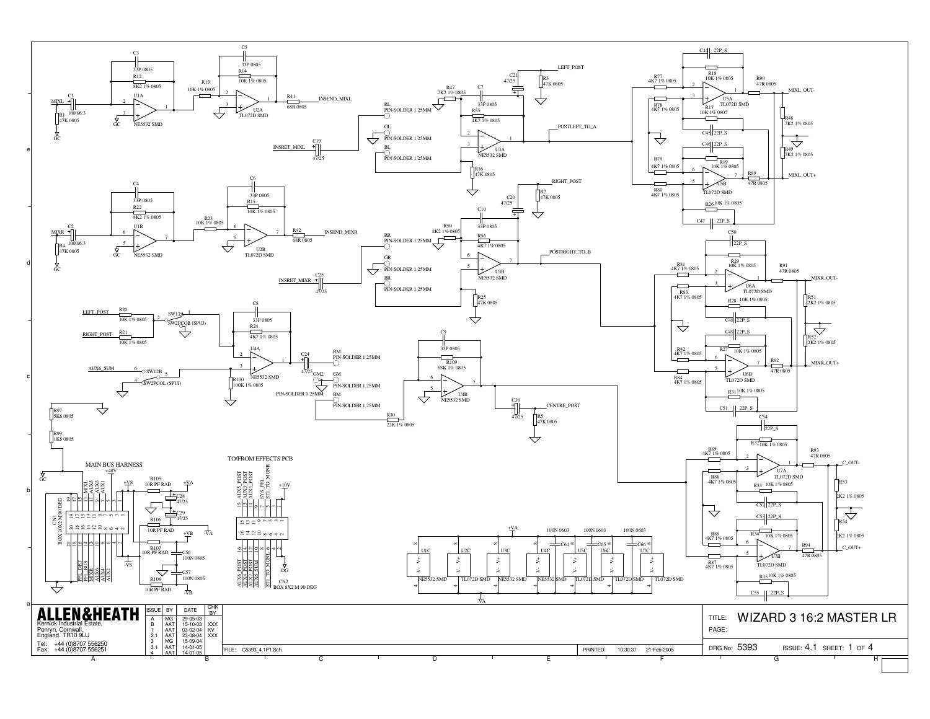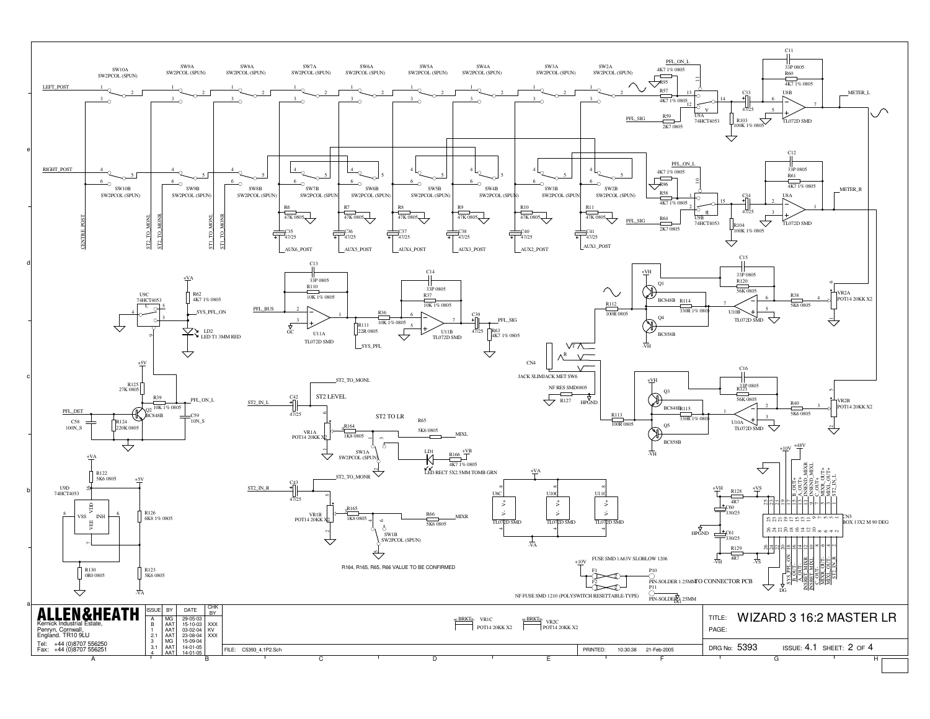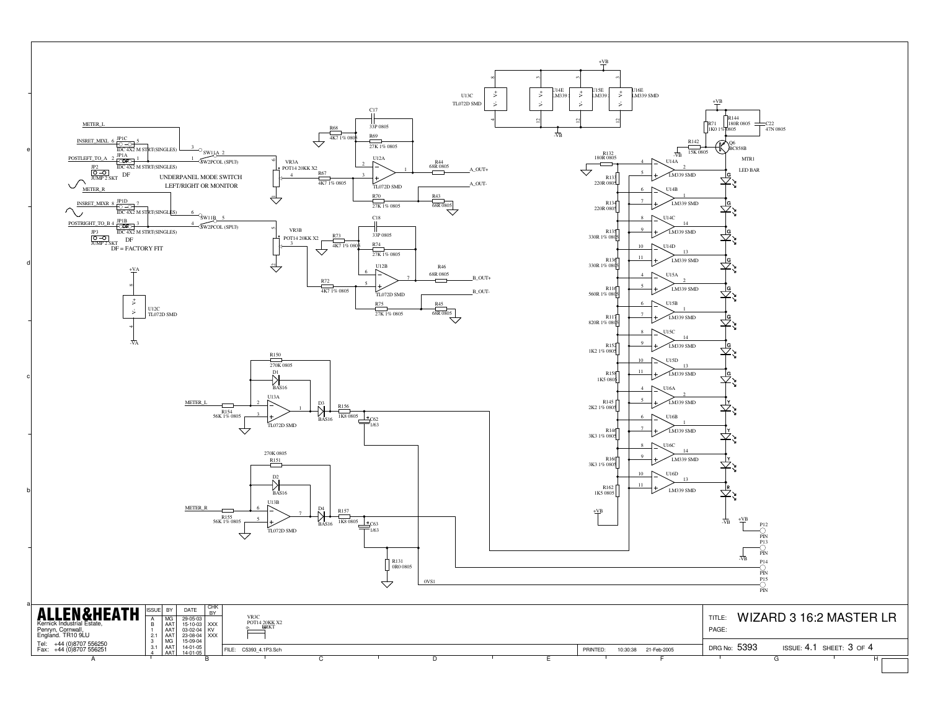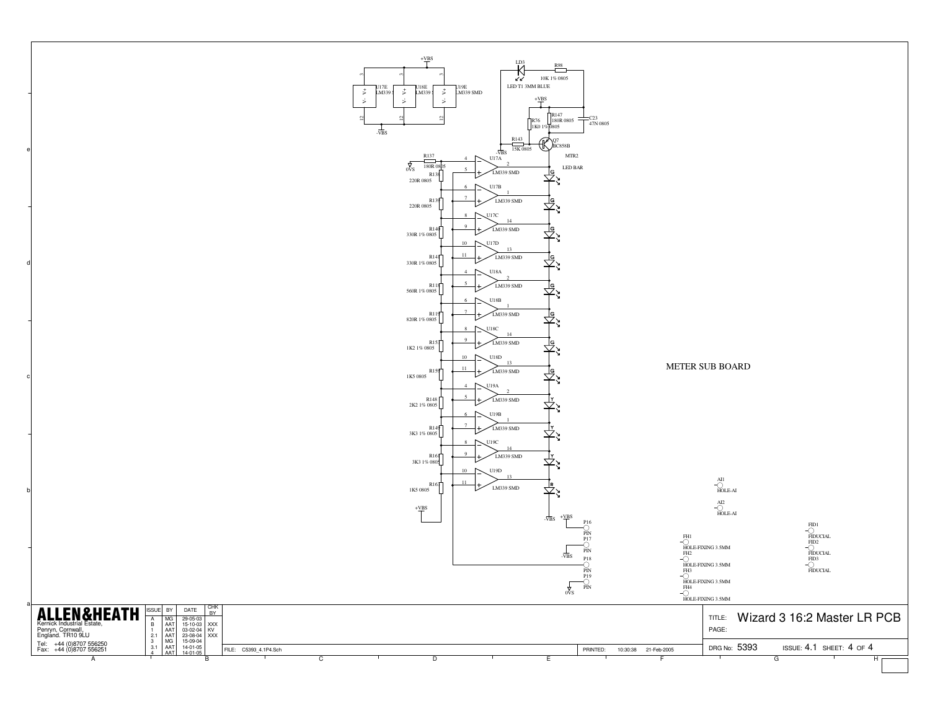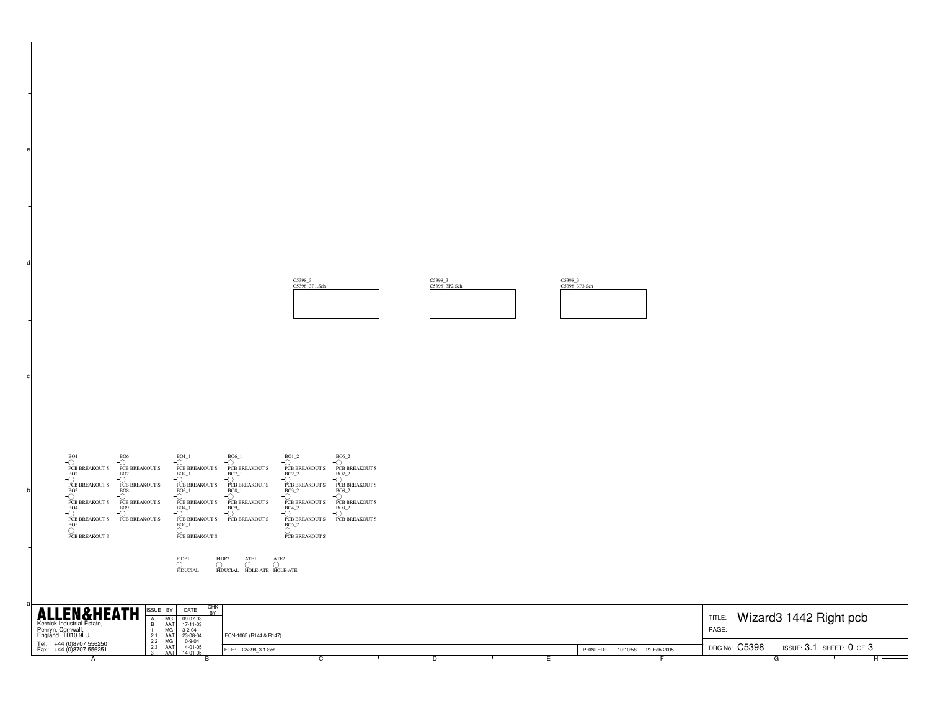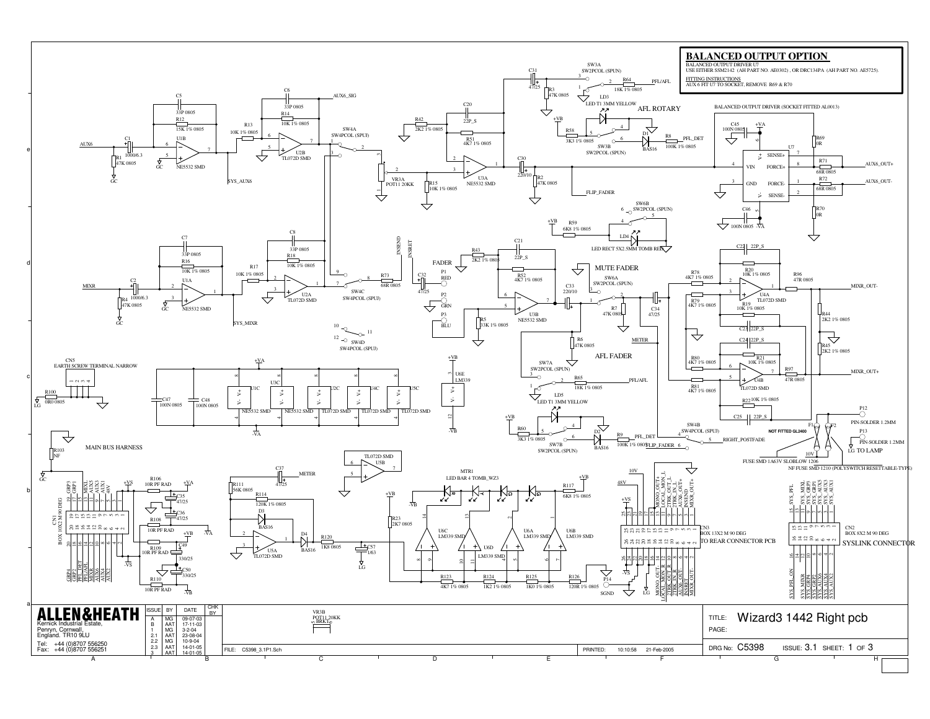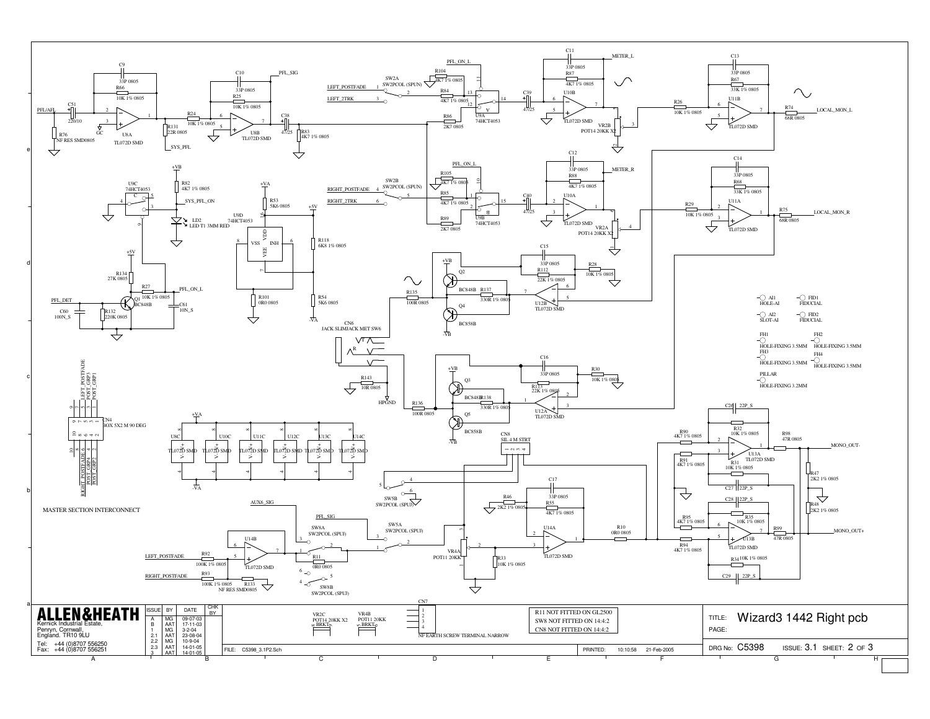